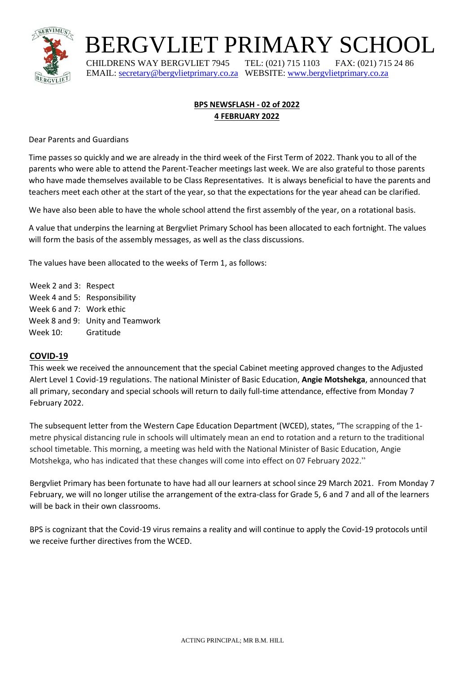

BERGVLIET PRIMARY SCHOOL

 CHILDRENS WAY BERGVLIET 7945 TEL: (021) 715 1103 FAX: (021) 715 24 86 EMAIL: [secretary@bergvlietprimary.co.za](mailto:secretary@bergvlietprimary.co.za) WEBSITE[: www.bergvlietprimary.co.za](http://www.bergvlietprimary.co.za/)

# **BPS NEWSFLASH - 02 of 2022 4 FEBRUARY 2022**

Dear Parents and Guardians

Time passes so quickly and we are already in the third week of the First Term of 2022. Thank you to all of the parents who were able to attend the Parent-Teacher meetings last week. We are also grateful to those parents who have made themselves available to be Class Representatives. It is always beneficial to have the parents and teachers meet each other at the start of the year, so that the expectations for the year ahead can be clarified.

We have also been able to have the whole school attend the first assembly of the year, on a rotational basis.

A value that underpins the learning at Bergvliet Primary School has been allocated to each fortnight. The values will form the basis of the assembly messages, as well as the class discussions.

The values have been allocated to the weeks of Term 1, as follows:

Week 2 and 3: Respect Week 4 and 5: Responsibility Week 6 and 7: Work ethic Week 8 and 9: Unity and Teamwork Week 10: Gratitude

## **COVID-19**

This week we received the announcement that the special Cabinet meeting approved changes to the Adjusted Alert Level 1 Covid-19 regulations. The national Minister of Basic Education, **Angie Motshekga**, announced that all primary, secondary and special schools will return to daily full-time attendance, effective from Monday 7 February 2022.

The subsequent letter from the Western Cape Education Department (WCED), states, "The scrapping of the 1 metre physical distancing rule in schools will ultimately mean an end to rotation and a return to the traditional school timetable. This morning, a meeting was held with the National Minister of Basic Education, Angie Motshekga, who has indicated that these changes will come into effect on 07 February 2022."

Bergvliet Primary has been fortunate to have had all our learners at school since 29 March 2021. From Monday 7 February, we will no longer utilise the arrangement of the extra-class for Grade 5, 6 and 7 and all of the learners will be back in their own classrooms.

BPS is cognizant that the Covid-19 virus remains a reality and will continue to apply the Covid-19 protocols until we receive further directives from the WCED.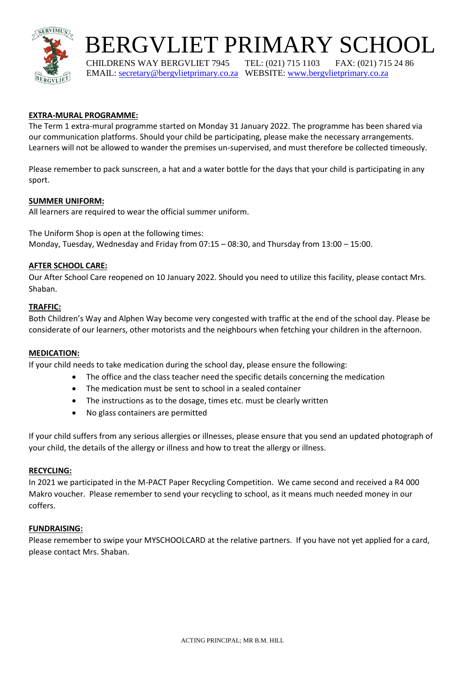

# BERGVLIET PRIMARY SCHOOL

 CHILDRENS WAY BERGVLIET 7945 TEL: (021) 715 1103 FAX: (021) 715 24 86 EMAIL: [secretary@bergvlietprimary.co.za](mailto:secretary@bergvlietprimary.co.za) WEBSITE[: www.bergvlietprimary.co.za](http://www.bergvlietprimary.co.za/)

# **EXTRA-MURAL PROGRAMME:**

The Term 1 extra-mural programme started on Monday 31 January 2022. The programme has been shared via our communication platforms. Should your child be participating, please make the necessary arrangements. Learners will not be allowed to wander the premises un-supervised, and must therefore be collected timeously.

Please remember to pack sunscreen, a hat and a water bottle for the days that your child is participating in any sport.

## **SUMMER UNIFORM:**

All learners are required to wear the official summer uniform.

The Uniform Shop is open at the following times: Monday, Tuesday, Wednesday and Friday from 07:15 – 08:30, and Thursday from 13:00 – 15:00.

### **AFTER SCHOOL CARE:**

Our After School Care reopened on 10 January 2022. Should you need to utilize this facility, please contact Mrs. Shaban.

#### **TRAFFIC:**

Both Children's Way and Alphen Way become very congested with traffic at the end of the school day. Please be considerate of our learners, other motorists and the neighbours when fetching your children in the afternoon.

#### **MEDICATION:**

If your child needs to take medication during the school day, please ensure the following:

- The office and the class teacher need the specific details concerning the medication
- The medication must be sent to school in a sealed container
- The instructions as to the dosage, times etc. must be clearly written
- No glass containers are permitted

If your child suffers from any serious allergies or illnesses, please ensure that you send an updated photograph of your child, the details of the allergy or illness and how to treat the allergy or illness.

#### **RECYCLING:**

In 2021 we participated in the M-PACT Paper Recycling Competition. We came second and received a R4 000 Makro voucher. Please remember to send your recycling to school, as it means much needed money in our coffers.

#### **FUNDRAISING:**

Please remember to swipe your MYSCHOOLCARD at the relative partners. If you have not yet applied for a card, please contact Mrs. Shaban.